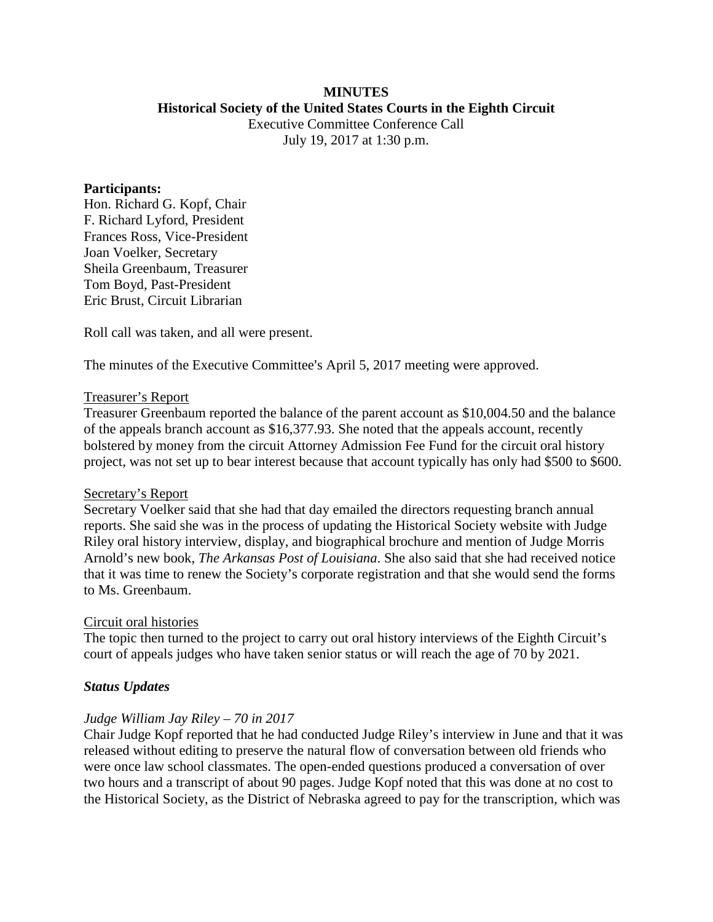# **MINUTES Historical Society of the United States Courts in the Eighth Circuit**

Executive Committee Conference Call July 19, 2017 at 1:30 p.m.

#### **Participants:**

Hon. Richard G. Kopf, Chair F. Richard Lyford, President Frances Ross, Vice-President Joan Voelker, Secretary Sheila Greenbaum, Treasurer Tom Boyd, Past-President Eric Brust, Circuit Librarian

Roll call was taken, and all were present.

The minutes of the Executive Committee's April 5, 2017 meeting were approved.

#### Treasurer's Report

Treasurer Greenbaum reported the balance of the parent account as \$10,004.50 and the balance of the appeals branch account as \$16,377.93. She noted that the appeals account, recently bolstered by money from the circuit Attorney Admission Fee Fund for the circuit oral history project, was not set up to bear interest because that account typically has only had \$500 to \$600.

#### Secretary's Report

Secretary Voelker said that she had that day emailed the directors requesting branch annual reports. She said she was in the process of updating the Historical Society website with Judge Riley oral history interview, display, and biographical brochure and mention of Judge Morris Arnold's new book, *The Arkansas Post of Louisiana*. She also said that she had received notice that it was time to renew the Society's corporate registration and that she would send the forms to Ms. Greenbaum.

#### Circuit oral histories

The topic then turned to the project to carry out oral history interviews of the Eighth Circuit's court of appeals judges who have taken senior status or will reach the age of 70 by 2021.

#### *Status Updates*

#### *Judge William Jay Riley – 70 in 2017*

Chair Judge Kopf reported that he had conducted Judge Riley's interview in June and that it was released without editing to preserve the natural flow of conversation between old friends who were once law school classmates. The open-ended questions produced a conversation of over two hours and a transcript of about 90 pages. Judge Kopf noted that this was done at no cost to the Historical Society, as the District of Nebraska agreed to pay for the transcription, which was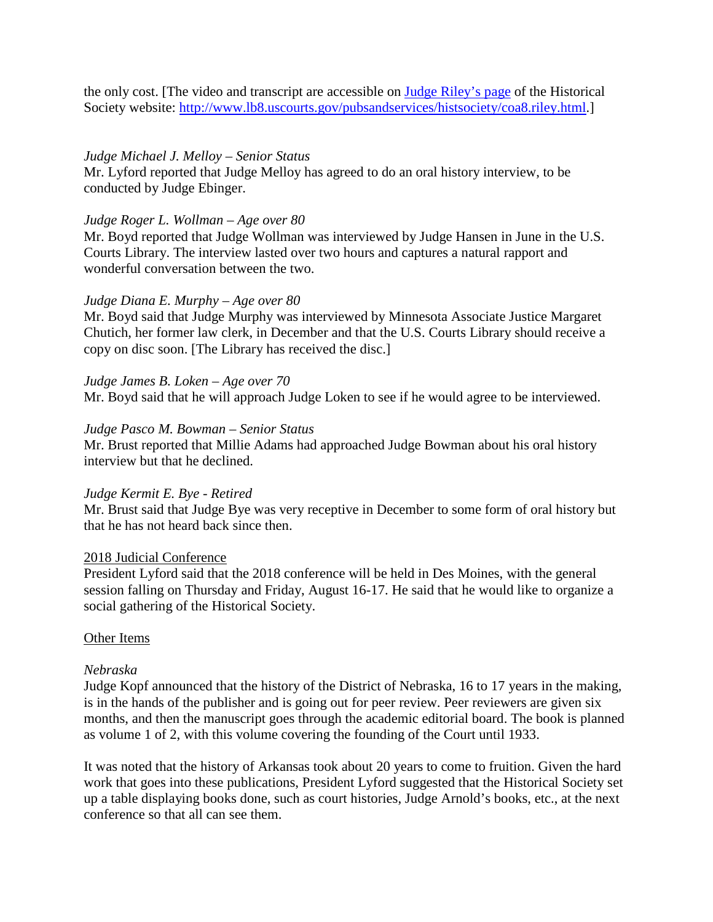the only cost. [The video and transcript are accessible on [Judge Riley's page](http://www.lb8.uscourts.gov/pubsandservices/histsociety/coa8.riley.html) of the Historical Society website: [http://www.lb8.uscourts.gov/pubsandservices/histsociety/coa8.riley.html.](http://www.lb8.uscourts.gov/pubsandservices/histsociety/coa8.riley.html)]

### *Judge Michael J. Melloy – Senior Status*

Mr. Lyford reported that Judge Melloy has agreed to do an oral history interview, to be conducted by Judge Ebinger.

### *Judge Roger L. Wollman – Age over 80*

Mr. Boyd reported that Judge Wollman was interviewed by Judge Hansen in June in the U.S. Courts Library. The interview lasted over two hours and captures a natural rapport and wonderful conversation between the two.

### *Judge Diana E. Murphy – Age over 80*

Mr. Boyd said that Judge Murphy was interviewed by Minnesota Associate Justice Margaret Chutich, her former law clerk, in December and that the U.S. Courts Library should receive a copy on disc soon. [The Library has received the disc.]

*Judge James B. Loken – Age over 70* Mr. Boyd said that he will approach Judge Loken to see if he would agree to be interviewed.

#### *Judge Pasco M. Bowman – Senior Status*

Mr. Brust reported that Millie Adams had approached Judge Bowman about his oral history interview but that he declined.

## *Judge Kermit E. Bye - Retired*

Mr. Brust said that Judge Bye was very receptive in December to some form of oral history but that he has not heard back since then.

#### 2018 Judicial Conference

President Lyford said that the 2018 conference will be held in Des Moines, with the general session falling on Thursday and Friday, August 16-17. He said that he would like to organize a social gathering of the Historical Society.

#### Other Items

#### *Nebraska*

Judge Kopf announced that the history of the District of Nebraska, 16 to 17 years in the making, is in the hands of the publisher and is going out for peer review. Peer reviewers are given six months, and then the manuscript goes through the academic editorial board. The book is planned as volume 1 of 2, with this volume covering the founding of the Court until 1933.

It was noted that the history of Arkansas took about 20 years to come to fruition. Given the hard work that goes into these publications, President Lyford suggested that the Historical Society set up a table displaying books done, such as court histories, Judge Arnold's books, etc., at the next conference so that all can see them.